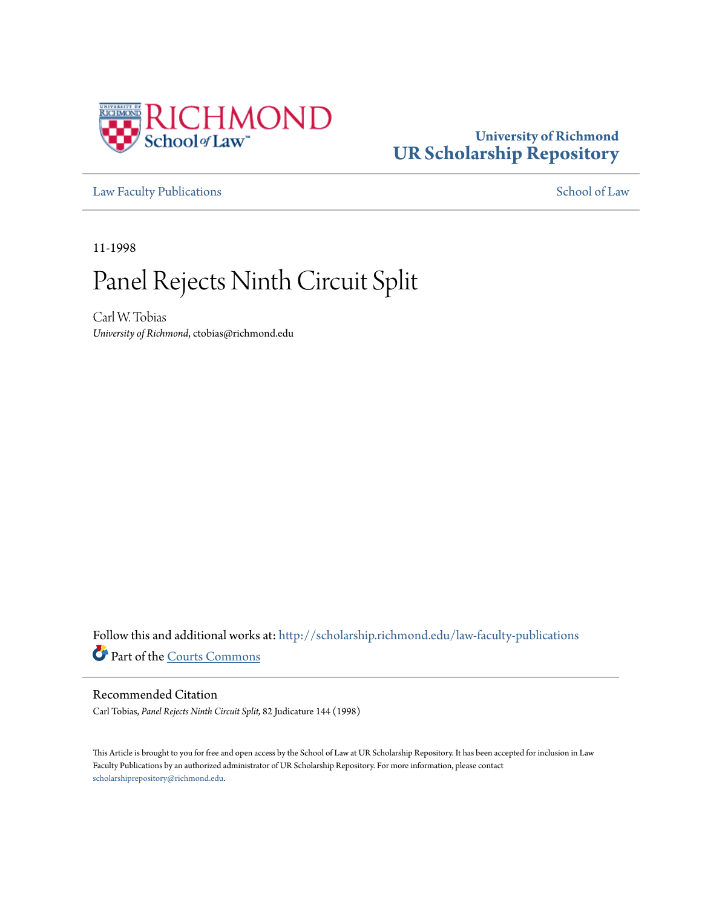

## **University of Richmond [UR Scholarship Repository](http://scholarship.richmond.edu?utm_source=scholarship.richmond.edu%2Flaw-faculty-publications%2F1060&utm_medium=PDF&utm_campaign=PDFCoverPages)**

[Law Faculty Publications](http://scholarship.richmond.edu/law-faculty-publications?utm_source=scholarship.richmond.edu%2Flaw-faculty-publications%2F1060&utm_medium=PDF&utm_campaign=PDFCoverPages) [School of Law](http://scholarship.richmond.edu/law?utm_source=scholarship.richmond.edu%2Flaw-faculty-publications%2F1060&utm_medium=PDF&utm_campaign=PDFCoverPages)

11-1998

# Panel Rejects Ninth Circuit Split

Carl W. Tobias *University of Richmond*, ctobias@richmond.edu

Follow this and additional works at: [http://scholarship.richmond.edu/law-faculty-publications](http://scholarship.richmond.edu/law-faculty-publications?utm_source=scholarship.richmond.edu%2Flaw-faculty-publications%2F1060&utm_medium=PDF&utm_campaign=PDFCoverPages) Part of the [Courts Commons](http://network.bepress.com/hgg/discipline/839?utm_source=scholarship.richmond.edu%2Flaw-faculty-publications%2F1060&utm_medium=PDF&utm_campaign=PDFCoverPages)

### Recommended Citation

Carl Tobias, *Panel Rejects Ninth Circuit Split,* 82 Judicature 144 (1998)

This Article is brought to you for free and open access by the School of Law at UR Scholarship Repository. It has been accepted for inclusion in Law Faculty Publications by an authorized administrator of UR Scholarship Repository. For more information, please contact [scholarshiprepository@richmond.edu.](mailto:scholarshiprepository@richmond.edu)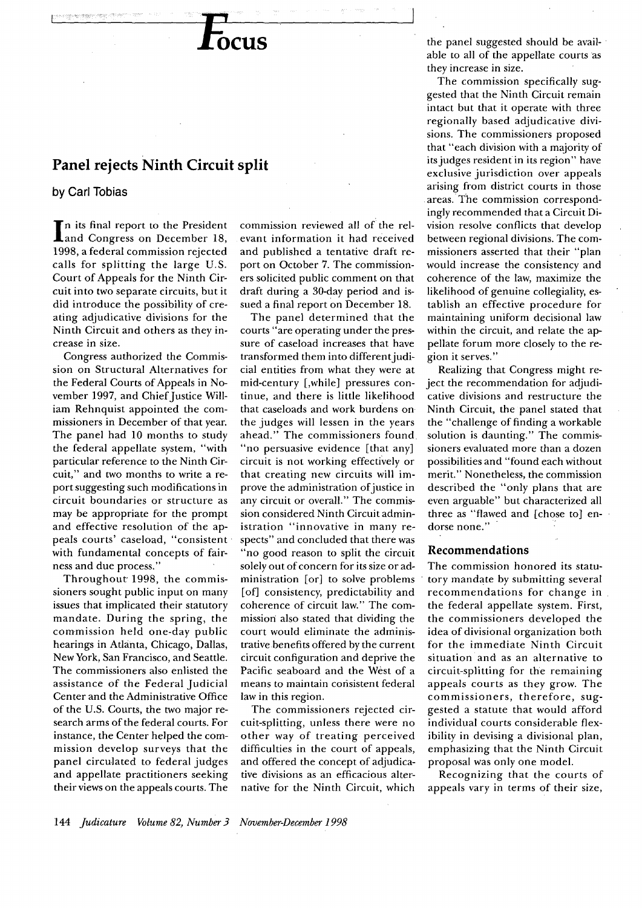## **Focus**

## **Panel rejects Ninth Circuit split**

## **by Carl Tobias**

In its final report to the President<br>
and Congress on December 18, and Congress on December 18, 1998, a federal commission rejected calls for splitting the large U.S. Court of Appeals for the Ninth Circuit into two separate circuits, but it did introduce the possibility of creating adjudicative divisions for the Ninth Circuit and others as they increase in size.

Congress authorized the Commission on Structural Alternatives for the Federal Courts of Appeals in November 1997, and Chief Justice William Rehnquist appointed the commissioners in December of that year. The panel had 10 months to study the federal appellate system, "with particular reference to the Ninth Circuit," and two months to write a report suggesting such modifications in circuit boundaries or structure as may be appropriate for the prompt and effective resolution of the appeals courts' caseload, "consistent· with fundamental concepts of fairness and due process."

Throughout 1998, the commissioners sought public input on many issues that implicated their statutory mandate. During the spring, the commission held one-day public hearings in Atlanta, Chicago, Dallas, New York, San Francisco, and Seattle. The commissioners also enlisted the assistance of the Federal Judicial Center and the Administrative Office of the U.S. Courts, the two major research arms of the federal courts. For instance, the Center helped the commission develop surveys that the panel circulated to federal judges and appellate practitioners seeking their views on the appeals courts. The commission reviewed all of the relevant information it had received and published a tentative draft report on October 7. The commissioners solicited public comment on that draft during a 30-day period and issued a final report on December 18.

The panel determined that the courts "are operating under the pressure of caseload increases that have transformed them into different judicial entities from what they were at mid-century [,while] pressures continue, and there is little likelihood that caseloads and work burdens on the judges will lessen in the years ahead." The commissioners found "no persuasive evidence [that any] circuit is not working effectively or that creating new circuits will improve the administration of justice in any circuit or overall." The commission considered Ninth Circuit administration "innovative in many respects" and concluded that there was "no good reason to split the circuit solely out of concern for its size or administration [or] to solve problems [of] consistency, predictability and coherence of circuit law." The commission also stated that dividing the court would eliminate the administrative benefits offered by the current circuit configuration and deprive the Pacific seaboard and the West of a means to maintain consistent federal law in this region.

The commissioners rejected circuit-splitting, unless there were no other way of treating perceived difficulties in the court of appeals, and offered the concept of adjudicative divisions as an efficacious alternative for the Ninth Circuit, which

the panel suggested should be avail- · able to all of the appellate courts as they increase in size.

The commission specifically suggested that the Ninth Circuit remain intact but that it operate with three regionally based adjudicative divisions. The commissioners proposed that "each division with a majority of its judges resident in its region" have exclusive jurisdiction over appeals arising from district courts in those areas. The commission correspondingly recommended that a Circuit Division resolve conflicts that develop between regional divisions. The commissioners asserted that their "plan would increase the consistency and coherence of the law, maximize the likelihood of genuine collegiality, establish an effective procedure for maintaining uniform decisional law within the circuit, and relate the appellate forum more closely to the region it serves."

Realizing that Congress might reject the recommendation for adjudicative divisions and restructure the Ninth Circuit, the panel stated that the "challenge of finding a workable solution is daunting." The commissioners evaluated more than a dozen possibilities and "found each without merit." Nonetheless, the commission described the "only plans that are even arguable" but characterized all three as "flawed and [chose to] endorse none."

#### **Recommendations**

The commission honored its statutory mandate by submitting several recommendations for change in the federal appellate system. First, the commissioners developed the idea of divisional organization both for the immediate Ninth Circuit situation and as an alternative to circuit-splitting for the remaining appeals courts as they grow. The commissioners, therefore, suggested a statute that would afford individual courts considerable flexibility in devising a divisional plan, emphasizing that the Ninth Circuit proposal was only one model.

Recognizing that the courts of appeals vary in terms of their size,